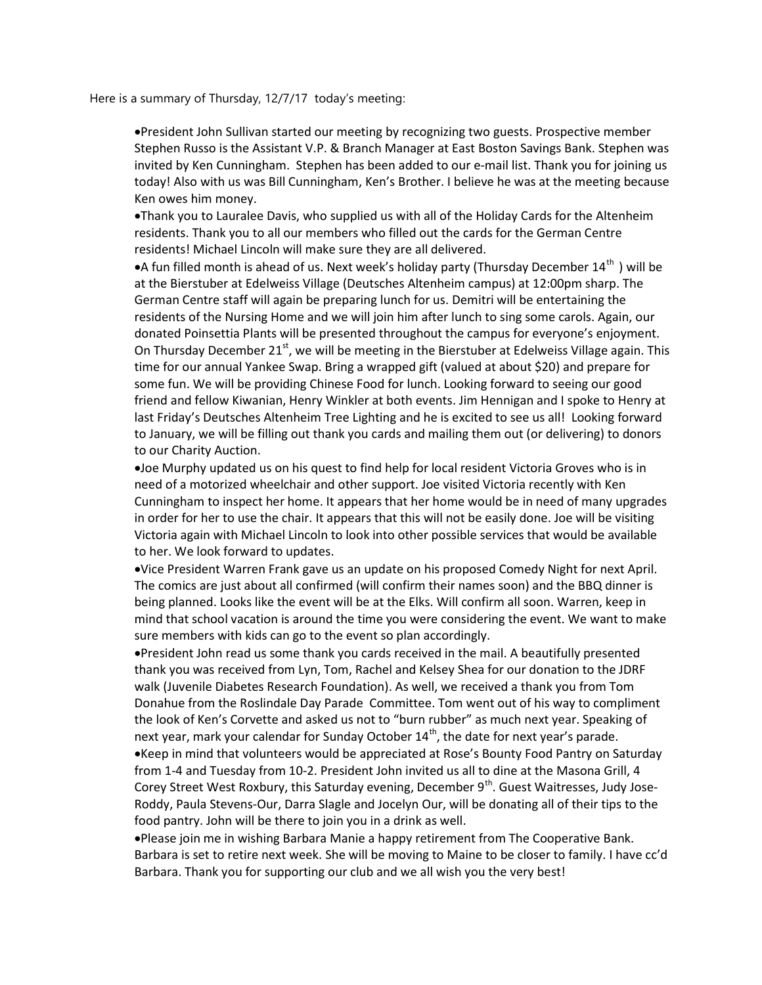Here is a summary of Thursday, 12/7/17 today's meeting:

President John Sullivan started our meeting by recognizing two guests. Prospective member Stephen Russo is the Assistant V.P. & Branch Manager at East Boston Savings Bank. Stephen was invited by Ken Cunningham. Stephen has been added to our e-mail list. Thank you for joining us today! Also with us was Bill Cunningham, Ken's Brother. I believe he was at the meeting because Ken owes him money.

Thank you to Lauralee Davis, who supplied us with all of the Holiday Cards for the Altenheim residents. Thank you to all our members who filled out the cards for the German Centre residents! Michael Lincoln will make sure they are all delivered.

• A fun filled month is ahead of us. Next week's holiday party (Thursday December 14<sup>th</sup>) will be at the Bierstuber at Edelweiss Village (Deutsches Altenheim campus) at 12:00pm sharp. The German Centre staff will again be preparing lunch for us. Demitri will be entertaining the residents of the Nursing Home and we will join him after lunch to sing some carols. Again, our donated Poinsettia Plants will be presented throughout the campus for everyone's enjoyment. On Thursday December 21<sup>st</sup>, we will be meeting in the Bierstuber at Edelweiss Village again. This time for our annual Yankee Swap. Bring a wrapped gift (valued at about \$20) and prepare for some fun. We will be providing Chinese Food for lunch. Looking forward to seeing our good friend and fellow Kiwanian, Henry Winkler at both events. Jim Hennigan and I spoke to Henry at last Friday's Deutsches Altenheim Tree Lighting and he is excited to see us all! Looking forward to January, we will be filling out thank you cards and mailing them out (or delivering) to donors to our Charity Auction.

Joe Murphy updated us on his quest to find help for local resident Victoria Groves who is in need of a motorized wheelchair and other support. Joe visited Victoria recently with Ken Cunningham to inspect her home. It appears that her home would be in need of many upgrades in order for her to use the chair. It appears that this will not be easily done. Joe will be visiting Victoria again with Michael Lincoln to look into other possible services that would be available to her. We look forward to updates.

Vice President Warren Frank gave us an update on his proposed Comedy Night for next April. The comics are just about all confirmed (will confirm their names soon) and the BBQ dinner is being planned. Looks like the event will be at the Elks. Will confirm all soon. Warren, keep in mind that school vacation is around the time you were considering the event. We want to make sure members with kids can go to the event so plan accordingly.

President John read us some thank you cards received in the mail. A beautifully presented thank you was received from Lyn, Tom, Rachel and Kelsey Shea for our donation to the JDRF walk (Juvenile Diabetes Research Foundation). As well, we received a thank you from Tom Donahue from the Roslindale Day Parade Committee. Tom went out of his way to compliment the look of Ken's Corvette and asked us not to "burn rubber" as much next year. Speaking of next year, mark your calendar for Sunday October 14<sup>th</sup>, the date for next year's parade. Keep in mind that volunteers would be appreciated at Rose's Bounty Food Pantry on Saturday from 1-4 and Tuesday from 10-2. President John invited us all to dine at the Masona Grill, 4 Corey Street West Roxbury, this Saturday evening, December 9<sup>th</sup>. Guest Waitresses, Judy Jose-Roddy, Paula Stevens-Our, Darra Slagle and Jocelyn Our, will be donating all of their tips to the food pantry. John will be there to join you in a drink as well.

Please join me in wishing Barbara Manie a happy retirement from The Cooperative Bank. Barbara is set to retire next week. She will be moving to Maine to be closer to family. I have cc'd Barbara. Thank you for supporting our club and we all wish you the very best!